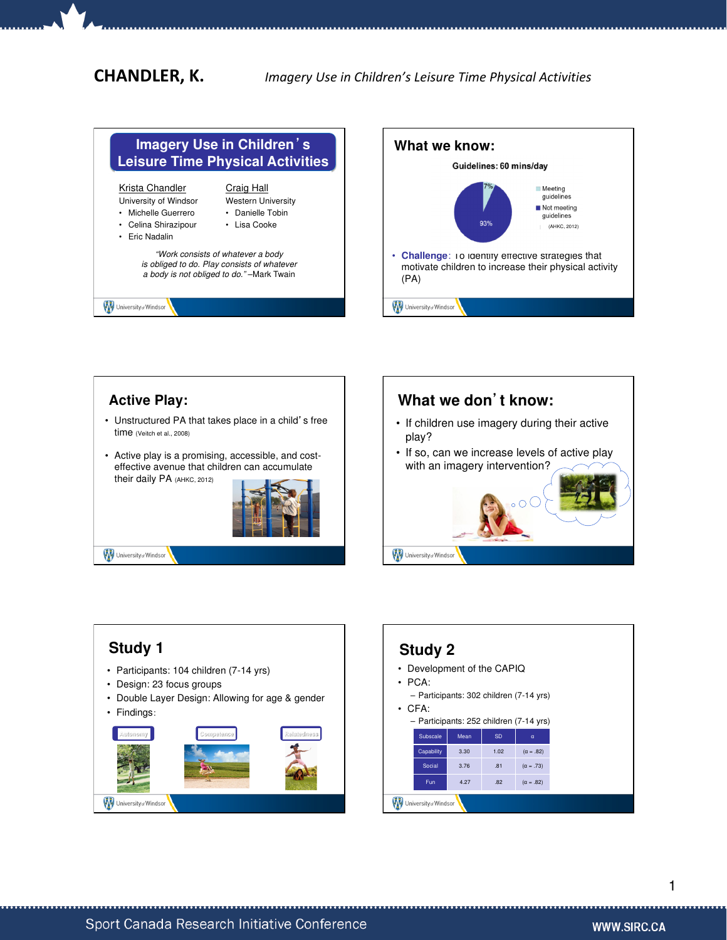CHANDLER, K. Imagery Use in Children's Leisure Time Physical Activities





## **Active Play:**

- Unstructured PA that takes place in a child's free time (Veitch et al., 2008)
- Active play is a promising, accessible, and costeffective avenue that children can accumulate their daily PA (AHKC, 2012)



University of Windsor





## **Study 2**

- Development of the CAPIQ
- PCA:
- Participants: 302 children (7-14 yrs)
- CFA:

|                       | - Participants: 252 children (7-14 yrs) |      |           |                  |
|-----------------------|-----------------------------------------|------|-----------|------------------|
|                       | Subscale                                | Mean | <b>SD</b> | α                |
|                       | Capability                              | 3.30 | 1.02      | $(\alpha = .82)$ |
|                       | Social                                  | 3.76 | .81       | $(\alpha = .73)$ |
|                       | Fun                                     | 4.27 | .82       | $(\alpha = .82)$ |
| University of Windsor |                                         |      |           |                  |